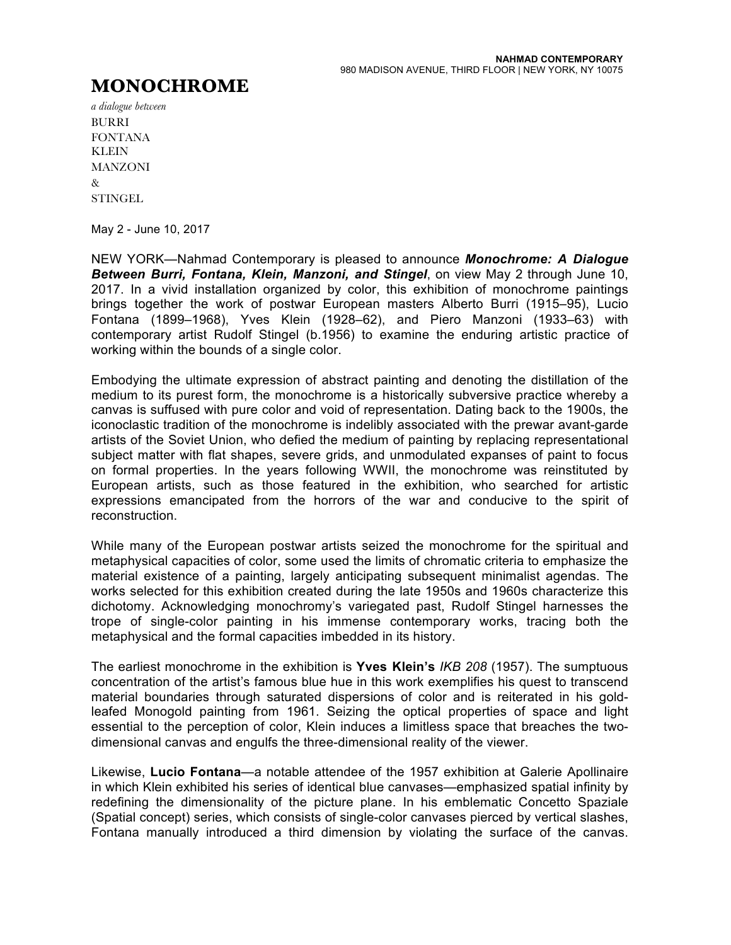## **MONOCHROME**

*a dialogue between* BURRI FONTANA **KLEIN** MANZONI  $\mathcal{R}_{\mathcal{T}}$ **STINGEL** 

May 2 - June 10, 2017

NEW YORK—Nahmad Contemporary is pleased to announce *Monochrome: A Dialogue Between Burri, Fontana, Klein, Manzoni, and Stingel*, on view May 2 through June 10, 2017. In a vivid installation organized by color, this exhibition of monochrome paintings brings together the work of postwar European masters Alberto Burri (1915–95), Lucio Fontana (1899–1968), Yves Klein (1928–62), and Piero Manzoni (1933–63) with contemporary artist Rudolf Stingel (b.1956) to examine the enduring artistic practice of working within the bounds of a single color.

Embodying the ultimate expression of abstract painting and denoting the distillation of the medium to its purest form, the monochrome is a historically subversive practice whereby a canvas is suffused with pure color and void of representation. Dating back to the 1900s, the iconoclastic tradition of the monochrome is indelibly associated with the prewar avant-garde artists of the Soviet Union, who defied the medium of painting by replacing representational subject matter with flat shapes, severe grids, and unmodulated expanses of paint to focus on formal properties. In the years following WWII, the monochrome was reinstituted by European artists, such as those featured in the exhibition, who searched for artistic expressions emancipated from the horrors of the war and conducive to the spirit of reconstruction.

While many of the European postwar artists seized the monochrome for the spiritual and metaphysical capacities of color, some used the limits of chromatic criteria to emphasize the material existence of a painting, largely anticipating subsequent minimalist agendas. The works selected for this exhibition created during the late 1950s and 1960s characterize this dichotomy. Acknowledging monochromy's variegated past, Rudolf Stingel harnesses the trope of single-color painting in his immense contemporary works, tracing both the metaphysical and the formal capacities imbedded in its history.

The earliest monochrome in the exhibition is **Yves Klein's** *IKB 208* (1957). The sumptuous concentration of the artist's famous blue hue in this work exemplifies his quest to transcend material boundaries through saturated dispersions of color and is reiterated in his goldleafed Monogold painting from 1961. Seizing the optical properties of space and light essential to the perception of color, Klein induces a limitless space that breaches the twodimensional canvas and engulfs the three-dimensional reality of the viewer.

Likewise, **Lucio Fontana**—a notable attendee of the 1957 exhibition at Galerie Apollinaire in which Klein exhibited his series of identical blue canvases—emphasized spatial infinity by redefining the dimensionality of the picture plane. In his emblematic Concetto Spaziale (Spatial concept) series, which consists of single-color canvases pierced by vertical slashes, Fontana manually introduced a third dimension by violating the surface of the canvas.